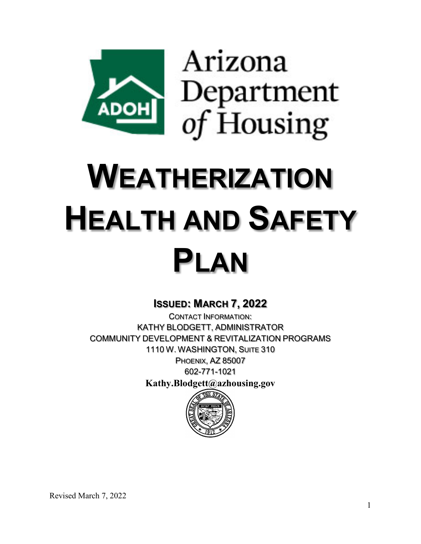

# **WEATHERIZATION HEALTH AND SAFETY PLAN**

# **ISSUED: MARCH 7, 2022**

CONTACT INFORMATION: KATHY BLODGETT, ADMINISTRATOR COMMUNITY DEVELOPMENT & REVITALIZATION PROGRAMS 1110 W. WASHINGTON, SUITE 310 PHOENIX, AZ 85007 602-771-1021

**Kathy.Blodgett@azhousing.gov**

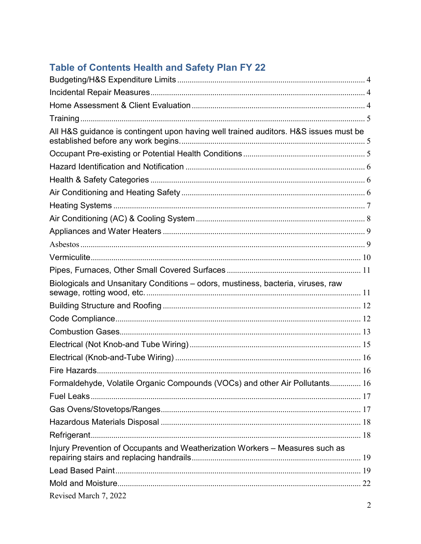# Table of Contents Health and Safety Plan FY 22

| All H&S guidance is contingent upon having well trained auditors. H&S issues must be |  |
|--------------------------------------------------------------------------------------|--|
|                                                                                      |  |
|                                                                                      |  |
|                                                                                      |  |
|                                                                                      |  |
|                                                                                      |  |
|                                                                                      |  |
|                                                                                      |  |
|                                                                                      |  |
|                                                                                      |  |
|                                                                                      |  |
| Biologicals and Unsanitary Conditions – odors, mustiness, bacteria, viruses, raw     |  |
|                                                                                      |  |
|                                                                                      |  |
|                                                                                      |  |
|                                                                                      |  |
|                                                                                      |  |
|                                                                                      |  |
| Formaldehyde, Volatile Organic Compounds (VOCs) and other Air Pollutants 16          |  |
|                                                                                      |  |
|                                                                                      |  |
|                                                                                      |  |
|                                                                                      |  |
| Injury Prevention of Occupants and Weatherization Workers - Measures such as         |  |
|                                                                                      |  |
|                                                                                      |  |
|                                                                                      |  |
| Revised March 7, 2022                                                                |  |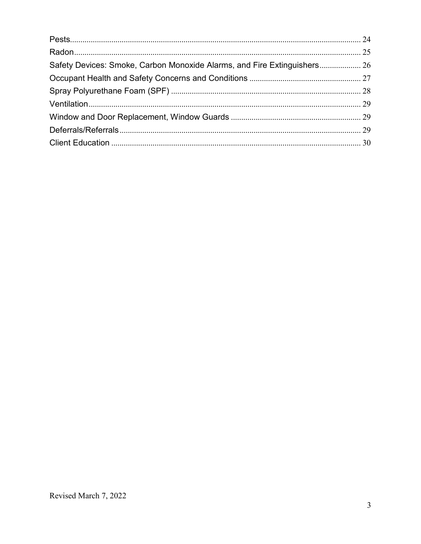| Safety Devices: Smoke, Carbon Monoxide Alarms, and Fire Extinguishers 26 |
|--------------------------------------------------------------------------|
|                                                                          |
|                                                                          |
|                                                                          |
|                                                                          |
|                                                                          |
|                                                                          |
|                                                                          |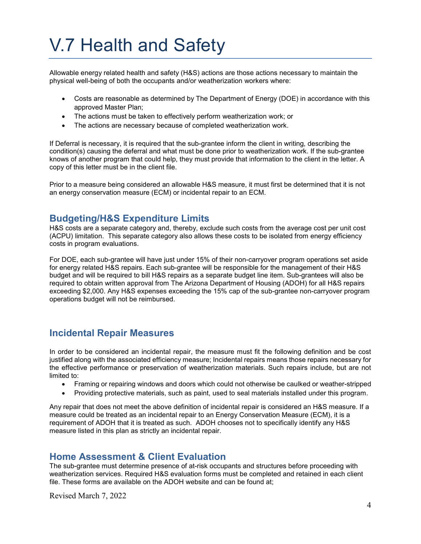# V.7 Health and Safety

Allowable energy related health and safety (H&S) actions are those actions necessary to maintain the physical well-being of both the occupants and/or weatherization workers where:

- Costs are reasonable as determined by The Department of Energy (DOE) in accordance with this approved Master Plan;
- The actions must be taken to effectively perform weatherization work; or
- The actions are necessary because of completed weatherization work.

If Deferral is necessary, it is required that the sub-grantee inform the client in writing, describing the condition(s) causing the deferral and what must be done prior to weatherization work. If the sub-grantee knows of another program that could help, they must provide that information to the client in the letter. A copy of this letter must be in the client file.

<span id="page-3-0"></span>Prior to a measure being considered an allowable H&S measure, it must first be determined that it is not an energy conservation measure (ECM) or incidental repair to an ECM.

# **Budgeting/H&S Expenditure Limits**

H&S costs are a separate category and, thereby, exclude such costs from the average cost per unit cost (ACPU) limitation. This separate category also allows these costs to be isolated from energy efficiency costs in program evaluations.

For DOE, each sub-grantee will have just under 15% of their non-carryover program operations set aside for energy related H&S repairs. Each sub-grantee will be responsible for the management of their H&S budget and will be required to bill H&S repairs as a separate budget line item. Sub-grantees will also be required to obtain written approval from The Arizona Department of Housing (ADOH) for all H&S repairs exceeding \$2,000. Any H&S expenses exceeding the 15% cap of the sub-grantee non-carryover program operations budget will not be reimbursed.

# <span id="page-3-1"></span>**Incidental Repair Measures**

In order to be considered an incidental repair, the measure must fit the following definition and be cost justified along with the associated efficiency measure; Incidental repairs means those repairs necessary for the effective performance or preservation of weatherization materials. Such repairs include, but are not limited to:

- Framing or repairing windows and doors which could not otherwise be caulked or weather-stripped
- Providing protective materials, such as paint, used to seal materials installed under this program.

Any repair that does not meet the above definition of incidental repair is considered an H&S measure. If a measure could be treated as an incidental repair to an Energy Conservation Measure (ECM), it is a requirement of ADOH that it is treated as such. ADOH chooses not to specifically identify any H&S measure listed in this plan as strictly an incidental repair.

# <span id="page-3-2"></span>**Home Assessment & Client Evaluation**

The sub-grantee must determine presence of at-risk occupants and structures before proceeding with weatherization services. Required H&S evaluation forms must be completed and retained in each client file. These forms are available on the ADOH website and can be found at;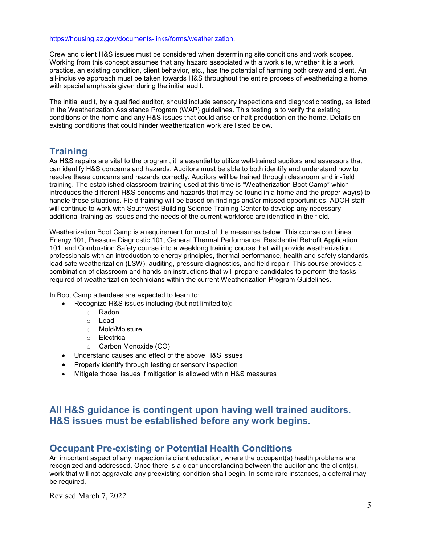[https://housing.az.gov/documents-links/forms/weatherization.](https://housing.az.gov/documents-links/forms/weatherization)

Crew and client H&S issues must be considered when determining site conditions and work scopes. Working from this concept assumes that any hazard associated with a work site, whether it is a work practice, an existing condition, client behavior, etc., has the potential of harming both crew and client. An all-inclusive approach must be taken towards H&S throughout the entire process of weatherizing a home, with special emphasis given during the initial audit.

The initial audit, by a qualified auditor, should include sensory inspections and diagnostic testing, as listed in the Weatherization Assistance Program (WAP) guidelines. This testing is to verify the existing conditions of the home and any H&S issues that could arise or halt production on the home. Details on existing conditions that could hinder weatherization work are listed below.

# <span id="page-4-0"></span>**Training**

As H&S repairs are vital to the program, it is essential to utilize well-trained auditors and assessors that can identify H&S concerns and hazards. Auditors must be able to both identify and understand how to resolve these concerns and hazards correctly. Auditors will be trained through classroom and in-field training. The established classroom training used at this time is "Weatherization Boot Camp" which introduces the different H&S concerns and hazards that may be found in a home and the proper way(s) to handle those situations. Field training will be based on findings and/or missed opportunities. ADOH staff will continue to work with Southwest Building Science Training Center to develop any necessary additional training as issues and the needs of the current workforce are identified in the field.

Weatherization Boot Camp is a requirement for most of the measures below. This course combines Energy 101, Pressure Diagnostic 101, General Thermal Performance, Residential Retrofit Application 101, and Combustion Safety course into a weeklong training course that will provide weatherization professionals with an introduction to energy principles, thermal performance, health and safety standards, lead safe weatherization (LSW), auditing, pressure diagnostics, and field repair. This course provides a combination of classroom and hands-on instructions that will prepare candidates to perform the tasks required of weatherization technicians within the current Weatherization Program Guidelines.

In Boot Camp attendees are expected to learn to:

- Recognize H&S issues including (but not limited to):
	- o Radon
	- o Lead
	- o Mold/Moisture
	- o Electrical
	- o Carbon Monoxide (CO)
- Understand causes and effect of the above H&S issues
- Properly identify through testing or sensory inspection
- Mitigate those issues if mitigation is allowed within H&S measures

# <span id="page-4-1"></span>**All H&S guidance is contingent upon having well trained auditors. H&S issues must be established before any work begins.**

# <span id="page-4-2"></span>**Occupant Pre-existing or Potential Health Conditions**

An important aspect of any inspection is client education, where the occupant(s) health problems are recognized and addressed. Once there is a clear understanding between the auditor and the client(s), work that will not aggravate any preexisting condition shall begin. In some rare instances, a deferral may be required.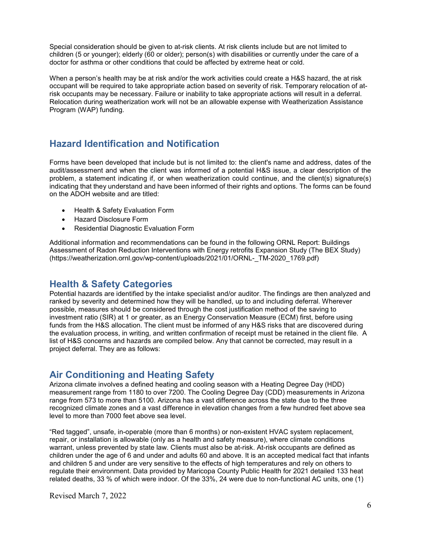Special consideration should be given to at-risk clients. At risk clients include but are not limited to children (5 or younger); elderly (60 or older); person(s) with disabilities or currently under the care of a doctor for asthma or other conditions that could be affected by extreme heat or cold.

When a person's health may be at risk and/or the work activities could create a H&S hazard, the at risk occupant will be required to take appropriate action based on severity of risk. Temporary relocation of atrisk occupants may be necessary. Failure or inability to take appropriate actions will result in a deferral. Relocation during weatherization work will not be an allowable expense with Weatherization Assistance Program (WAP) funding.

# <span id="page-5-0"></span>**Hazard Identification and Notification**

Forms have been developed that include but is not limited to: the client's name and address, dates of the audit/assessment and when the client was informed of a potential H&S issue, a clear description of the problem, a statement indicating if, or when weatherization could continue, and the client(s) signature(s) indicating that they understand and have been informed of their rights and options. The forms can be found on the ADOH website and are titled:

- Health & Safety Evaluation Form
- Hazard Disclosure Form
- Residential Diagnostic Evaluation Form

Additional information and recommendations can be found in the following ORNL Report: Buildings Assessment of Radon Reduction Interventions with Energy retrofits Expansion Study (The BEX Study) (https://weatherization.ornl.gov/wp-content/uploads/2021/01/ORNL-\_TM-2020\_1769.pdf)

# <span id="page-5-1"></span>**Health & Safety Categories**

Potential hazards are identified by the intake specialist and/or auditor. The findings are then analyzed and ranked by severity and determined how they will be handled, up to and including deferral. Wherever possible, measures should be considered through the cost justification method of the saving to investment ratio (SIR) at 1 or greater, as an Energy Conservation Measure (ECM) first, before using funds from the H&S allocation. The client must be informed of any H&S risks that are discovered during the evaluation process, in writing, and written confirmation of receipt must be retained in the client file. A list of H&S concerns and hazards are compiled below. Any that cannot be corrected, may result in a project deferral. They are as follows:

# <span id="page-5-2"></span>**Air Conditioning and Heating Safety**

Arizona climate involves a defined heating and cooling season with a Heating Degree Day (HDD) measurement range from 1180 to over 7200. The Cooling Degree Day (CDD) measurements in Arizona range from 573 to more than 5100. Arizona has a vast difference across the state due to the three recognized climate zones and a vast difference in elevation changes from a few hundred feet above sea level to more than 7000 feet above sea level.

"Red tagged", unsafe, in-operable (more than 6 months) or non-existent HVAC system replacement, repair, or installation is allowable (only as a health and safety measure), where climate conditions warrant, unless prevented by state law. Clients must also be at-risk. At-risk occupants are defined as children under the age of 6 and under and adults 60 and above. It is an accepted medical fact that infants and children 5 and under are very sensitive to the effects of high temperatures and rely on others to regulate their environment. Data provided by Maricopa County Public Health for 2021 detailed 133 heat related deaths, 33 % of which were indoor. Of the 33%, 24 were due to non-functional AC units, one (1)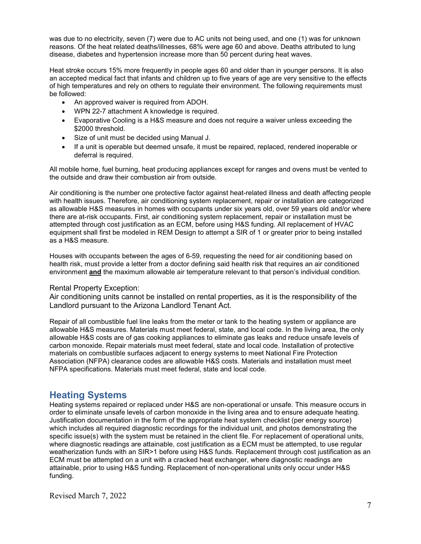was due to no electricity, seven (7) were due to AC units not being used, and one (1) was for unknown reasons. Of the heat related deaths/illnesses, 68% were age 60 and above. Deaths attributed to lung disease, diabetes and hypertension increase more than 50 percent during heat waves.

Heat stroke occurs 15% more frequently in people ages 60 and older than in younger persons. It is also an accepted medical fact that infants and children up to five years of age are very sensitive to the effects of high temperatures and rely on others to regulate their environment. The following requirements must be followed:

- An approved waiver is required from ADOH.
- WPN 22-7 attachment A knowledge is required.
- Evaporative Cooling is a H&S measure and does not require a waiver unless exceeding the \$2000 threshold.
- Size of unit must be decided using Manual J.
- If a unit is operable but deemed unsafe, it must be repaired, replaced, rendered inoperable or deferral is required.

All mobile home, fuel burning, heat producing appliances except for ranges and ovens must be vented to the outside and draw their combustion air from outside.

Air conditioning is the number one protective factor against heat-related illness and death affecting people with health issues. Therefore, air conditioning system replacement, repair or installation are categorized as allowable H&S measures in homes with occupants under six years old, over 59 years old and/or where there are at-risk occupants. First, air conditioning system replacement, repair or installation must be attempted through cost justification as an ECM, before using H&S funding. All replacement of HVAC equipment shall first be modeled in REM Design to attempt a SIR of 1 or greater prior to being installed as a H&S measure.

Houses with occupants between the ages of 6-59, requesting the need for air conditioning based on health risk, must provide a letter from a doctor defining said health risk that requires an air conditioned environment **and** the maximum allowable air temperature relevant to that person's individual condition.

#### Rental Property Exception:

Air conditioning units cannot be installed on rental properties, as it is the responsibility of the Landlord pursuant to the Arizona Landlord Tenant Act.

Repair of all combustible fuel line leaks from the meter or tank to the heating system or appliance are allowable H&S measures. Materials must meet federal, state, and local code. In the living area, the only allowable H&S costs are of gas cooking appliances to eliminate gas leaks and reduce unsafe levels of carbon monoxide. Repair materials must meet federal, state and local code. Installation of protective materials on combustible surfaces adjacent to energy systems to meet National Fire Protection Association (NFPA) clearance codes are allowable H&S costs. Materials and installation must meet NFPA specifications. Materials must meet federal, state and local code.

# <span id="page-6-0"></span>**Heating Systems**

Heating systems repaired or replaced under H&S are non-operational or unsafe. This measure occurs in order to eliminate unsafe levels of carbon monoxide in the living area and to ensure adequate heating. Justification documentation in the form of the appropriate heat system checklist (per energy source) which includes all required diagnostic recordings for the individual unit, and photos demonstrating the specific issue(s) with the system must be retained in the client file. For replacement of operational units, where diagnostic readings are attainable, cost justification as a ECM must be attempted, to use regular weatherization funds with an SIR>1 before using H&S funds. Replacement through cost justification as an ECM must be attempted on a unit with a cracked heat exchanger, where diagnostic readings are attainable, prior to using H&S funding. Replacement of non-operational units only occur under H&S funding.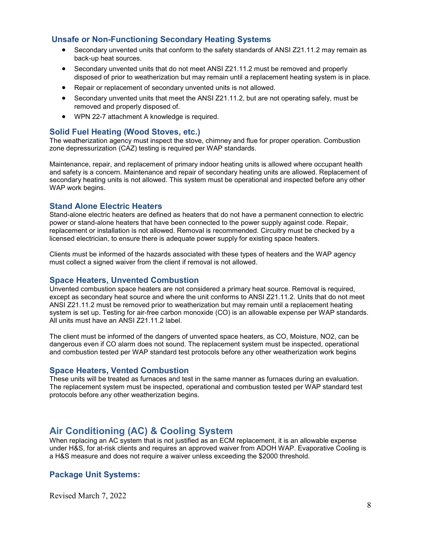#### **Unsafe or Non-Functioning Secondary Heating Systems**

- Secondary unvented units that conform to the safety standards of ANSI Z21.11.2 may remain as back-up heat sources.
- Secondary unvented units that do not meet ANSI Z21.11.2 must be removed and properly disposed of prior to weatherization but may remain until a replacement heating system is in place.
- Repair or replacement of secondary unvented units is not allowed.
- Secondary unvented units that meet the ANSI Z21.11.2, but are not operating safely, must be removed and properly disposed of.
- WPN 22-7 attachment A knowledge is required.

#### **Solid Fuel Heating (Wood Stoves, etc.)**

The weatherization agency must inspect the stove, chimney and flue for proper operation. Combustion zone depressurization (CAZ) testing is required per WAP standards.

Maintenance, repair, and replacement of primary indoor heating units is allowed where occupant health and safety is a concern. Maintenance and repair of secondary heating units are allowed. Replacement of secondary heating units is not allowed. This system must be operational and inspected before any other WAP work begins.

#### **Stand Alone Electric Heaters**

Stand-alone electric heaters are defined as heaters that do not have a permanent connection to electric power or stand-alone heaters that have been connected to the power supply against code. Repair, replacement or installation is not allowed. Removal is recommended. Circuitry must be checked by a licensed electrician, to ensure there is adequate power supply for existing space heaters.

Clients must be informed of the hazards associated with these types of heaters and the WAP agency must collect a signed waiver from the client if removal is not allowed.

#### **Space Heaters, Unvented Combustion**

Unvented combustion space heaters are not considered a primary heat source. Removal is required, except as secondary heat source and where the unit conforms to ANSI Z21.11.2. Units that do not meet ANSI Z21.11.2 must be removed prior to weatherization but may remain until a replacement heating system is set up. Testing for air-free carbon monoxide (CO) is an allowable expense per WAP standards. All units must have an ANSI Z21.11.2 label.

The client must be informed of the dangers of unvented space heaters, as CO, Moisture, NO2, can be dangerous even if CO alarm does not sound. The replacement system must be inspected, operational and combustion tested per WAP standard test protocols before any other weatherization work begins

#### **Space Heaters, Vented Combustion**

These units will be treated as furnaces and test in the same manner as furnaces during an evaluation. The replacement system must be inspected, operational and combustion tested per WAP standard test protocols before any other weatherization begins.

# <span id="page-7-0"></span>**Air Conditioning (AC) & Cooling System**

When replacing an AC system that is not justified as an ECM replacement, it is an allowable expense under H&S, for at-risk clients and requires an approved waiver from ADOH WAP. Evaporative Cooling is a H&S measure and does not require a waiver unless exceeding the \$2000 threshold.

#### **Package Unit Systems:**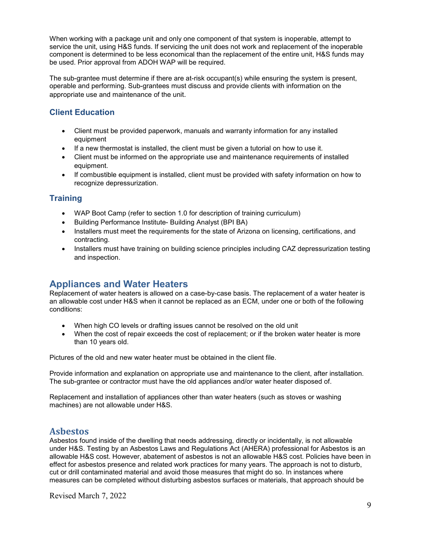When working with a package unit and only one component of that system is inoperable, attempt to service the unit, using H&S funds. If servicing the unit does not work and replacement of the inoperable component is determined to be less economical than the replacement of the entire unit, H&S funds may be used. Prior approval from ADOH WAP will be required.

The sub-grantee must determine if there are at-risk occupant(s) while ensuring the system is present, operable and performing. Sub-grantees must discuss and provide clients with information on the appropriate use and maintenance of the unit.

### **Client Education**

- Client must be provided paperwork, manuals and warranty information for any installed equipment
- If a new thermostat is installed, the client must be given a tutorial on how to use it.
- Client must be informed on the appropriate use and maintenance requirements of installed equipment.
- If combustible equipment is installed, client must be provided with safety information on how to recognize depressurization.

#### **Training**

- WAP Boot Camp (refer to section 1.0 for description of training curriculum)
- Building Performance Institute- Building Analyst (BPI BA)
- Installers must meet the requirements for the state of Arizona on licensing, certifications, and contracting.
- Installers must have training on building science principles including CAZ depressurization testing and inspection.

# <span id="page-8-0"></span>**Appliances and Water Heaters**

Replacement of water heaters is allowed on a case-by-case basis. The replacement of a water heater is an allowable cost under H&S when it cannot be replaced as an ECM, under one or both of the following conditions:

- When high CO levels or drafting issues cannot be resolved on the old unit
- When the cost of repair exceeds the cost of replacement; or if the broken water heater is more than 10 years old.

Pictures of the old and new water heater must be obtained in the client file.

Provide information and explanation on appropriate use and maintenance to the client, after installation. The sub-grantee or contractor must have the old appliances and/or water heater disposed of.

<span id="page-8-1"></span>Replacement and installation of appliances other than water heaters (such as stoves or washing machines) are not allowable under H&S.

# **Asbestos**

Asbestos found inside of the dwelling that needs addressing, directly or incidentally, is not allowable under H&S. Testing by an Asbestos Laws and Regulations Act (AHERA) professional for Asbestos is an allowable H&S cost. However, abatement of asbestos is not an allowable H&S cost. Policies have been in effect for asbestos presence and related work practices for many years. The approach is not to disturb, cut or drill contaminated material and avoid those measures that might do so. In instances where measures can be completed without disturbing asbestos surfaces or materials, that approach should be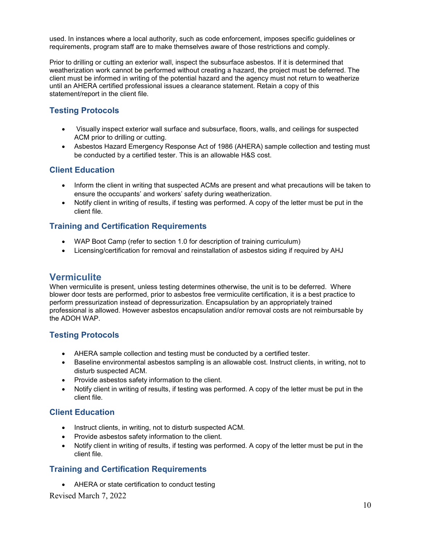used. In instances where a local authority, such as code enforcement, imposes specific guidelines or requirements, program staff are to make themselves aware of those restrictions and comply.

Prior to drilling or cutting an exterior wall, inspect the subsurface asbestos. If it is determined that weatherization work cannot be performed without creating a hazard, the project must be deferred. The client must be informed in writing of the potential hazard and the agency must not return to weatherize until an AHERA certified professional issues a clearance statement. Retain a copy of this statement/report in the client file.

# **Testing Protocols**

- Visually inspect exterior wall surface and subsurface, floors, walls, and ceilings for suspected ACM prior to drilling or cutting.
- Asbestos Hazard Emergency Response Act of 1986 (AHERA) sample collection and testing must be conducted by a certified tester. This is an allowable H&S cost.

#### **Client Education**

- Inform the client in writing that suspected ACMs are present and what precautions will be taken to ensure the occupants' and workers' safety during weatherization.
- Notify client in writing of results, if testing was performed. A copy of the letter must be put in the client file.

#### **Training and Certification Requirements**

- WAP Boot Camp (refer to section 1.0 for description of training curriculum)
- Licensing/certification for removal and reinstallation of asbestos siding if required by AHJ

# <span id="page-9-0"></span>**Vermiculite**

When vermiculite is present, unless testing determines otherwise, the unit is to be deferred. Where blower door tests are performed, prior to asbestos free vermiculite certification, it is a best practice to perform pressurization instead of depressurization. Encapsulation by an appropriately trained professional is allowed. However asbestos encapsulation and/or removal costs are not reimbursable by the ADOH WAP.

#### **Testing Protocols**

- AHERA sample collection and testing must be conducted by a certified tester.
- Baseline environmental asbestos sampling is an allowable cost. Instruct clients, in writing, not to disturb suspected ACM.
- Provide asbestos safety information to the client.
- Notify client in writing of results, if testing was performed. A copy of the letter must be put in the client file.

#### **Client Education**

- Instruct clients, in writing, not to disturb suspected ACM.
- Provide asbestos safety information to the client.
- Notify client in writing of results, if testing was performed. A copy of the letter must be put in the client file.

#### **Training and Certification Requirements**

• AHERA or state certification to conduct testing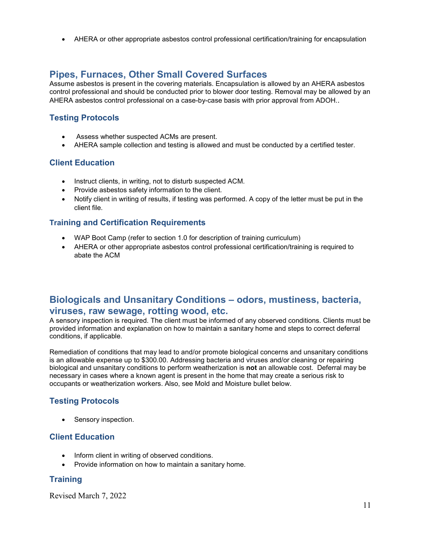• AHERA or other appropriate asbestos control professional certification/training for encapsulation

# <span id="page-10-0"></span>**Pipes, Furnaces, Other Small Covered Surfaces**

Assume asbestos is present in the covering materials. Encapsulation is allowed by an AHERA asbestos control professional and should be conducted prior to blower door testing. Removal may be allowed by an AHERA asbestos control professional on a case-by-case basis with prior approval from ADOH..

### **Testing Protocols**

- Assess whether suspected ACMs are present.
- AHERA sample collection and testing is allowed and must be conducted by a certified tester.

#### **Client Education**

- Instruct clients, in writing, not to disturb suspected ACM.
- Provide asbestos safety information to the client.
- Notify client in writing of results, if testing was performed. A copy of the letter must be put in the client file.

#### **Training and Certification Requirements**

- WAP Boot Camp (refer to section 1.0 for description of training curriculum)
- AHERA or other appropriate asbestos control professional certification/training is required to abate the ACM

# <span id="page-10-1"></span>**Biologicals and Unsanitary Conditions – odors, mustiness, bacteria, viruses, raw sewage, rotting wood, etc.**

A sensory inspection is required. The client must be informed of any observed conditions. Clients must be provided information and explanation on how to maintain a sanitary home and steps to correct deferral conditions, if applicable.

Remediation of conditions that may lead to and/or promote biological concerns and unsanitary conditions is an allowable expense up to \$300.00. Addressing bacteria and viruses and/or cleaning or repairing biological and unsanitary conditions to perform weatherization is **not** an allowable cost. Deferral may be necessary in cases where a known agent is present in the home that may create a serious risk to occupants or weatherization workers. Also, see Mold and Moisture bullet below.

# **Testing Protocols**

• Sensory inspection.

#### **Client Education**

- Inform client in writing of observed conditions.
- Provide information on how to maintain a sanitary home.

# **Training**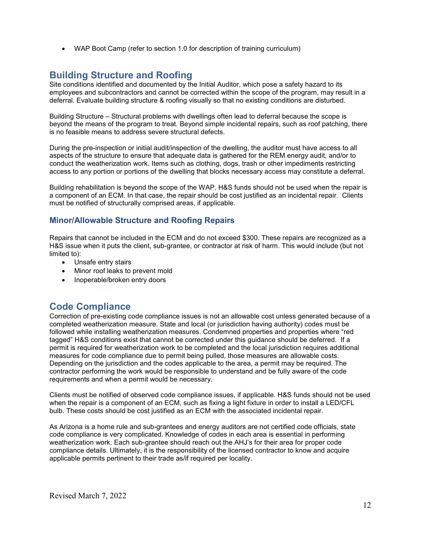• WAP Boot Camp (refer to section 1.0 for description of training curriculum)

# <span id="page-11-0"></span>**Building Structure and Roofing**

Site conditions identified and documented by the Initial Auditor, which pose a safety hazard to its employees and subcontractors and cannot be corrected within the scope of the program, may result in a deferral. Evaluate building structure & roofing visually so that no existing conditions are disturbed.

Building Structure – Structural problems with dwellings often lead to deferral because the scope is beyond the means of the program to treat. Beyond simple incidental repairs, such as roof patching, there is no feasible means to address severe structural defects.

During the pre-inspection or initial audit/inspection of the dwelling, the auditor must have access to all aspects of the structure to ensure that adequate data is gathered for the REM energy audit, and/or to conduct the weatherization work. Items such as clothing, dogs, trash or other impediments restricting access to any portion or portions of the dwelling that blocks necessary access may constitute a deferral.

Building rehabilitation is beyond the scope of the WAP. H&S funds should not be used when the repair is a component of an ECM. In that case, the repair should be cost justified as an incidental repair. Clients must be notified of structurally comprised areas, if applicable.

#### **Minor/Allowable Structure and Roofing Repairs**

Repairs that cannot be included in the ECM and do not exceed \$300. These repairs are recognized as a H&S issue when it puts the client, sub-grantee, or contractor at risk of harm. This would include (but not limited to):

- Unsafe entry stairs
- Minor roof leaks to prevent mold
- Inoperable/broken entry doors

# <span id="page-11-1"></span>**Code Compliance**

Correction of pre-existing code compliance issues is not an allowable cost unless generated because of a completed weatherization measure. State and local (or jurisdiction having authority) codes must be followed while installing weatherization measures. Condemned properties and properties where "red tagged" H&S conditions exist that cannot be corrected under this guidance should be deferred. If a permit is required for weatherization work to be completed and the local jurisdiction requires additional measures for code compliance due to permit being pulled, those measures are allowable costs. Depending on the jurisdiction and the codes applicable to the area, a permit may be required. The contractor performing the work would be responsible to understand and be fully aware of the code requirements and when a permit would be necessary.

Clients must be notified of observed code compliance issues, if applicable. H&S funds should not be used when the repair is a component of an ECM, such as fixing a light fixture in order to install a LED/CFL bulb. These costs should be cost justified as an ECM with the associated incidental repair.

As Arizona is a home rule and sub-grantees and energy auditors are not certified code officials, state code compliance is very complicated. Knowledge of codes in each area is essential in performing weatherization work. Each sub-grantee should reach out the AHJ's for their area for proper code compliance details. Ultimately, it is the responsibility of the licensed contractor to know and acquire applicable permits pertinent to their trade as/if required per locality.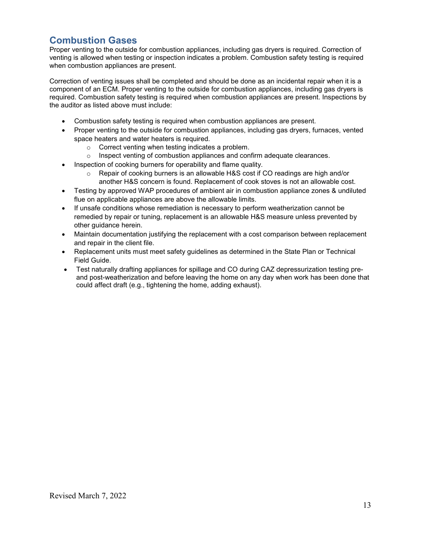# <span id="page-12-0"></span>**Combustion Gases**

Proper venting to the outside for combustion appliances, including gas dryers is required. Correction of venting is allowed when testing or inspection indicates a problem. Combustion safety testing is required when combustion appliances are present.

Correction of venting issues shall be completed and should be done as an incidental repair when it is a component of an ECM. Proper venting to the outside for combustion appliances, including gas dryers is required. Combustion safety testing is required when combustion appliances are present. Inspections by the auditor as listed above must include:

- Combustion safety testing is required when combustion appliances are present.
- Proper venting to the outside for combustion appliances, including gas dryers, furnaces, vented space heaters and water heaters is required.
	- o Correct venting when testing indicates a problem.
	- $\circ$  Inspect venting of combustion appliances and confirm adequate clearances.
- Inspection of cooking burners for operability and flame quality.
	- $\circ$  Repair of cooking burners is an allowable H&S cost if CO readings are high and/or another H&S concern is found. Replacement of cook stoves is not an allowable cost.
- Testing by approved WAP procedures of ambient air in combustion appliance zones & undiluted flue on applicable appliances are above the allowable limits.
- If unsafe conditions whose remediation is necessary to perform weatherization cannot be remedied by repair or tuning, replacement is an allowable H&S measure unless prevented by other guidance herein.
- Maintain documentation justifying the replacement with a cost comparison between replacement and repair in the client file.
- Replacement units must meet safety guidelines as determined in the State Plan or Technical Field Guide.
- Test naturally drafting appliances for spillage and CO during CAZ depressurization testing preand post-weatherization and before leaving the home on any day when work has been done that could affect draft (e.g., tightening the home, adding exhaust).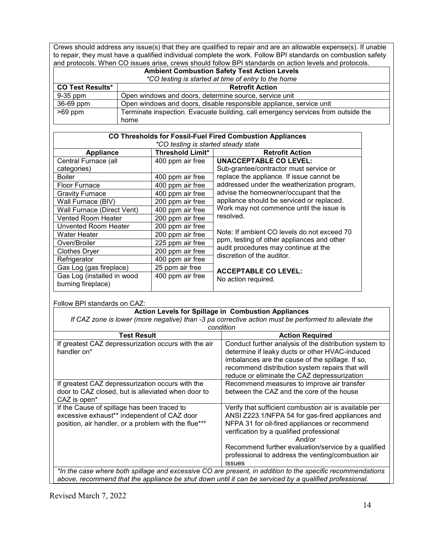Crews should address any issue(s) that they are qualified to repair and are an allowable expense(s). If unable to repair, they must have a qualified individual complete the work. Follow BPI standards on combustion safety and protocols. When CO issues arise, crews should follow BPI standards on action levels and protocols.

| <b>Ambient Combustion Safety Test Action Levels</b> |                                                                                   |  |  |  |  |
|-----------------------------------------------------|-----------------------------------------------------------------------------------|--|--|--|--|
| *CO testing is started at time of entry to the home |                                                                                   |  |  |  |  |
| <b>CO Test Results*</b>                             | <b>Retrofit Action</b>                                                            |  |  |  |  |
| 9-35 ppm                                            | Open windows and doors, determine source, service unit                            |  |  |  |  |
| 36-69 ppm                                           | Open windows and doors, disable responsible appliance, service unit               |  |  |  |  |
| $>69$ ppm                                           | Terminate inspection. Evacuate building, call emergency services from outside the |  |  |  |  |
|                                                     | home                                                                              |  |  |  |  |

| <b>CO Thresholds for Fossil-Fuel Fired Combustion Appliances</b><br>*CO testing is started steady state |                         |                                             |  |  |  |
|---------------------------------------------------------------------------------------------------------|-------------------------|---------------------------------------------|--|--|--|
| <b>Appliance</b>                                                                                        | <b>Threshold Limit*</b> | <b>Retrofit Action</b>                      |  |  |  |
| Central Furnace (all                                                                                    | 400 ppm air free        | <b>UNACCEPTABLE CO LEVEL:</b>               |  |  |  |
| categories)                                                                                             |                         | Sub-grantee/contractor must service or      |  |  |  |
| <b>Boiler</b>                                                                                           | 400 ppm air free        | replace the appliance. If issue cannot be   |  |  |  |
| <b>Floor Furnace</b>                                                                                    | 400 ppm air free        | addressed under the weatherization program, |  |  |  |
| <b>Gravity Furnace</b>                                                                                  | 400 ppm air free        | advise the homeowner/occupant that the      |  |  |  |
| Wall Furnace (BIV)                                                                                      | 200 ppm air free        | appliance should be serviced or replaced.   |  |  |  |
| Wall Furnace (Direct Vent)                                                                              | 400 ppm air free        | Work may not commence until the issue is    |  |  |  |
| <b>Vented Room Heater</b>                                                                               | 200 ppm air free        | resolved.                                   |  |  |  |
| <b>Unvented Room Heater</b>                                                                             | 200 ppm air free        |                                             |  |  |  |
| Water Heater                                                                                            | 200 ppm air free        | Note: If ambient CO levels do not exceed 70 |  |  |  |
| Oven/Broiler                                                                                            | 225 ppm air free        | ppm, testing of other appliances and other  |  |  |  |
| Clothes Dryer                                                                                           | 200 ppm air free        | audit procedures may continue at the        |  |  |  |
| Refrigerator                                                                                            | 400 ppm air free        | discretion of the auditor.                  |  |  |  |
| Gas Log (gas fireplace)                                                                                 | 25 ppm air free         | <b>ACCEPTABLE CO LEVEL:</b>                 |  |  |  |
| Gas Log (installed in wood<br>burning fireplace)                                                        | 400 ppm air free        | No action required.                         |  |  |  |

Follow BPI standards on CAZ:

| <b>Action Levels for Spillage in Combustion Appliances</b>                                                                                                                                                           |                                                                                                                                                                                                                                                                                                                                          |  |  |  |
|----------------------------------------------------------------------------------------------------------------------------------------------------------------------------------------------------------------------|------------------------------------------------------------------------------------------------------------------------------------------------------------------------------------------------------------------------------------------------------------------------------------------------------------------------------------------|--|--|--|
| If CAZ zone is lower (more negative) than -3 pa corrective action must be performed to alleviate the                                                                                                                 |                                                                                                                                                                                                                                                                                                                                          |  |  |  |
| condition                                                                                                                                                                                                            |                                                                                                                                                                                                                                                                                                                                          |  |  |  |
| <b>Test Result</b>                                                                                                                                                                                                   | <b>Action Required</b>                                                                                                                                                                                                                                                                                                                   |  |  |  |
| If greatest CAZ depressurization occurs with the air<br>handler on*                                                                                                                                                  | Conduct further analysis of the distribution system to<br>determine if leaky ducts or other HVAC-induced<br>imbalances are the cause of the spillage. If so,<br>recommend distribution system repairs that will<br>reduce or eliminate the CAZ depressurization                                                                          |  |  |  |
| If greatest CAZ depressurization occurs with the<br>door to CAZ closed, but is alleviated when door to<br>CAZ is open <sup>*</sup>                                                                                   | Recommend measures to improve air transfer<br>between the CAZ and the core of the house                                                                                                                                                                                                                                                  |  |  |  |
| If the Cause of spillage has been traced to<br>excessive exhaust** independent of CAZ door<br>position, air handler, or a problem with the flue***                                                                   | Verify that sufficient combustion air is available per<br>ANSI Z223.1/NFPA 54 for gas-fired appliances and<br>NFPA 31 for oil-fired appliances or recommend<br>verification by a qualified professional<br>And/or<br>Recommend further evaluation/service by a qualified<br>professional to address the venting/combustion air<br>issues |  |  |  |
| *In the case where both spillage and excessive CO are present, in addition to the specific recommendations<br>above, recommend that the appliance be shut down until it can be serviced by a qualified professional. |                                                                                                                                                                                                                                                                                                                                          |  |  |  |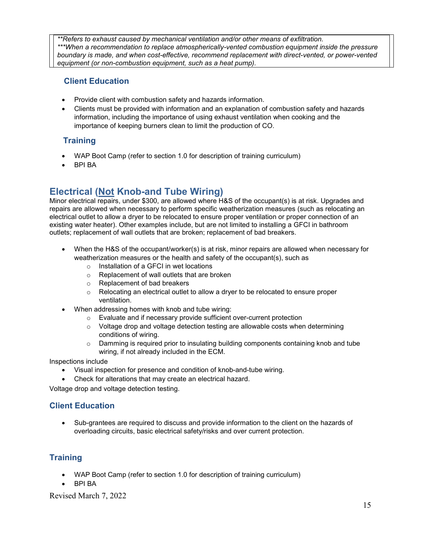*\*\*Refers to exhaust caused by mechanical ventilation and/or other means of exfiltration. \*\*\*When a recommendation to replace atmospherically-vented combustion equipment inside the pressure boundary is made, and when cost-effective, recommend replacement with direct-vented, or power-vented equipment (or non-combustion equipment, such as a heat pump).*

### **Client Education**

- Provide client with combustion safety and hazards information.
- Clients must be provided with information and an explanation of combustion safety and hazards information, including the importance of using exhaust ventilation when cooking and the importance of keeping burners clean to limit the production of CO.

# **Training**

- WAP Boot Camp (refer to section 1.0 for description of training curriculum)
- BPI BA

# <span id="page-14-0"></span>**Electrical (Not Knob-and Tube Wiring)**

Minor electrical repairs, under \$300, are allowed where H&S of the occupant(s) is at risk. Upgrades and repairs are allowed when necessary to perform specific weatherization measures (such as relocating an electrical outlet to allow a dryer to be relocated to ensure proper ventilation or proper connection of an existing water heater). Other examples include, but are not limited to installing a GFCI in bathroom outlets; replacement of wall outlets that are broken; replacement of bad breakers.

- When the H&S of the occupant/worker(s) is at risk, minor repairs are allowed when necessary for weatherization measures or the health and safety of the occupant(s), such as
	- o Installation of a GFCI in wet locations
	- o Replacement of wall outlets that are broken
	- o Replacement of bad breakers
	- $\circ$  Relocating an electrical outlet to allow a dryer to be relocated to ensure proper ventilation.
- When addressing homes with knob and tube wiring:
	- o Evaluate and if necessary provide sufficient over-current protection
	- $\circ$  Voltage drop and voltage detection testing are allowable costs when determining conditions of wiring.
	- o Damming is required prior to insulating building components containing knob and tube wiring, if not already included in the ECM.

Inspections include

- Visual inspection for presence and condition of knob-and-tube wiring.
- Check for alterations that may create an electrical hazard.

Voltage drop and voltage detection testing.

#### **Client Education**

• Sub-grantees are required to discuss and provide information to the client on the hazards of overloading circuits, basic electrical safety/risks and over current protection.

# **Training**

- WAP Boot Camp (refer to section 1.0 for description of training curriculum)
- BPI BA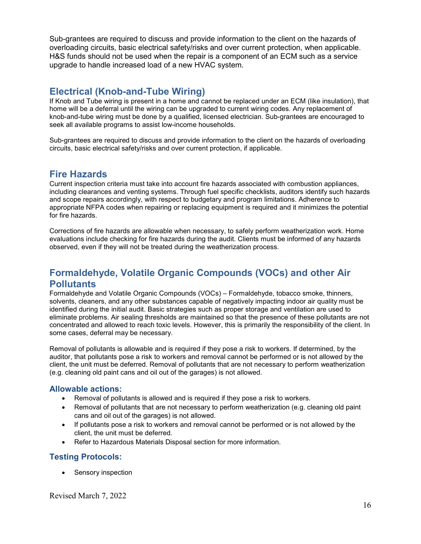Sub-grantees are required to discuss and provide information to the client on the hazards of overloading circuits, basic electrical safety/risks and over current protection, when applicable. H&S funds should not be used when the repair is a component of an ECM such as a service upgrade to handle increased load of a new HVAC system.

# <span id="page-15-0"></span>**Electrical (Knob-and-Tube Wiring)**

If Knob and Tube wiring is present in a home and cannot be replaced under an ECM (like insulation), that home will be a deferral until the wiring can be upgraded to current wiring codes. Any replacement of knob-and-tube wiring must be done by a qualified, licensed electrician. Sub-grantees are encouraged to seek all available programs to assist low-income households.

<span id="page-15-1"></span>Sub-grantees are required to discuss and provide information to the client on the hazards of overloading circuits, basic electrical safety/risks and over current protection, if applicable.

# **Fire Hazards**

Current inspection criteria must take into account fire hazards associated with combustion appliances, including clearances and venting systems. Through fuel specific checklists, auditors identify such hazards and scope repairs accordingly, with respect to budgetary and program limitations. Adherence to appropriate NFPA codes when repairing or replacing equipment is required and it minimizes the potential for fire hazards.

Corrections of fire hazards are allowable when necessary, to safely perform weatherization work. Home evaluations include checking for fire hazards during the audit. Clients must be informed of any hazards observed, even if they will not be treated during the weatherization process.

# <span id="page-15-2"></span>**Formaldehyde, Volatile Organic Compounds (VOCs) and other Air Pollutants**

Formaldehyde and Volatile Organic Compounds (VOCs) – Formaldehyde, tobacco smoke, thinners, solvents, cleaners, and any other substances capable of negatively impacting indoor air quality must be identified during the initial audit. Basic strategies such as proper storage and ventilation are used to eliminate problems. Air sealing thresholds are maintained so that the presence of these pollutants are not concentrated and allowed to reach toxic levels. However, this is primarily the responsibility of the client. In some cases, deferral may be necessary.

Removal of pollutants is allowable and is required if they pose a risk to workers. If determined, by the auditor, that pollutants pose a risk to workers and removal cannot be performed or is not allowed by the client, the unit must be deferred. Removal of pollutants that are not necessary to perform weatherization (e.g. cleaning old paint cans and oil out of the garages) is not allowed.

#### **Allowable actions:**

- Removal of pollutants is allowed and is required if they pose a risk to workers.
- Removal of pollutants that are not necessary to perform weatherization (e.g. cleaning old paint cans and oil out of the garages) is not allowed.
- If pollutants pose a risk to workers and removal cannot be performed or is not allowed by the client, the unit must be deferred.
- Refer to Hazardous Materials Disposal section for more information.

#### **Testing Protocols:**

• Sensory inspection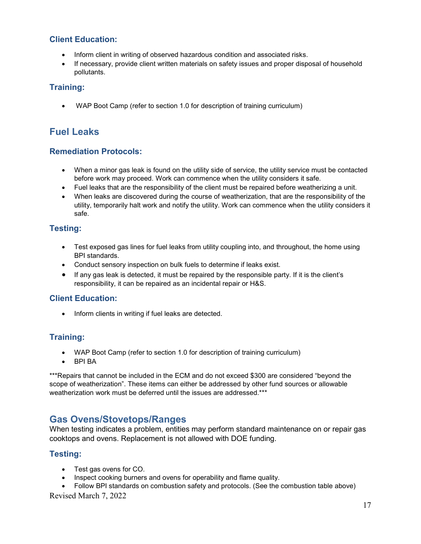#### **Client Education:**

- Inform client in writing of observed hazardous condition and associated risks.
- If necessary, provide client written materials on safety issues and proper disposal of household pollutants.

#### **Training:**

<span id="page-16-0"></span>• WAP Boot Camp (refer to section 1.0 for description of training curriculum)

# **Fuel Leaks**

#### **Remediation Protocols:**

- When a minor gas leak is found on the utility side of service, the utility service must be contacted before work may proceed. Work can commence when the utility considers it safe.
- Fuel leaks that are the responsibility of the client must be repaired before weatherizing a unit.
- When leaks are discovered during the course of weatherization, that are the responsibility of the utility, temporarily halt work and notify the utility. Work can commence when the utility considers it safe.

# **Testing:**

- Test exposed gas lines for fuel leaks from utility coupling into, and throughout, the home using BPI standards.
- Conduct sensory inspection on bulk fuels to determine if leaks exist.
- If any gas leak is detected, it must be repaired by the responsible party. If it is the client's responsibility, it can be repaired as an incidental repair or H&S.

#### **Client Education:**

• Inform clients in writing if fuel leaks are detected.

# **Training:**

- WAP Boot Camp (refer to section 1.0 for description of training curriculum)
- BPI BA

\*\*\*Repairs that cannot be included in the ECM and do not exceed \$300 are considered "beyond the scope of weatherization". These items can either be addressed by other fund sources or allowable weatherization work must be deferred until the issues are addressed.\*\*\*

# <span id="page-16-1"></span>**Gas Ovens/Stovetops/Ranges**

When testing indicates a problem, entities may perform standard maintenance on or repair gas cooktops and ovens. Replacement is not allowed with DOE funding.

#### **Testing:**

- Test gas ovens for CO.
- Inspect cooking burners and ovens for operability and flame quality.

• Follow BPI standards on combustion safety and protocols. (See the combustion table above)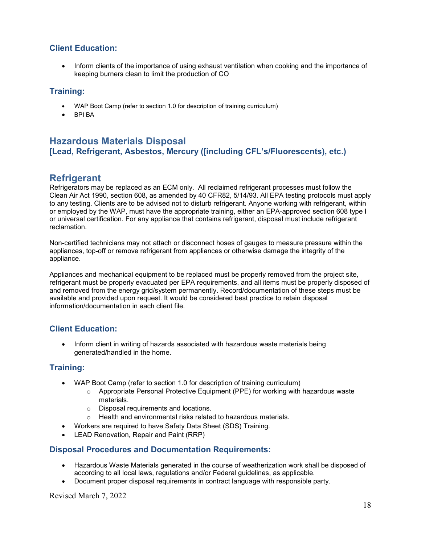### **Client Education:**

• Inform clients of the importance of using exhaust ventilation when cooking and the importance of keeping burners clean to limit the production of CO

#### **Training:**

- WAP Boot Camp (refer to section 1.0 for description of training curriculum)
- BPI BA

# <span id="page-17-0"></span>**Hazardous Materials Disposal [Lead, Refrigerant, Asbestos, Mercury ([including CFL's/Fluorescents), etc.)**

# <span id="page-17-1"></span>**Refrigerant**

Refrigerators may be replaced as an ECM only. All reclaimed refrigerant processes must follow the Clean Air Act 1990, section 608, as amended by 40 CFR82, 5/14/93. All EPA testing protocols must apply to any testing. Clients are to be advised not to disturb refrigerant. Anyone working with refrigerant, within or employed by the WAP, must have the appropriate training, either an EPA-approved section 608 type I or universal certification. For any appliance that contains refrigerant, disposal must include refrigerant reclamation.

Non-certified technicians may not attach or disconnect hoses of gauges to measure pressure within the appliances, top-off or remove refrigerant from appliances or otherwise damage the integrity of the appliance.

Appliances and mechanical equipment to be replaced must be properly removed from the project site, refrigerant must be properly evacuated per EPA requirements, and all items must be properly disposed of and removed from the energy grid/system permanently. Record/documentation of these steps must be available and provided upon request. It would be considered best practice to retain disposal information/documentation in each client file.

# **Client Education:**

• Inform client in writing of hazards associated with hazardous waste materials being generated/handled in the home.

#### **Training:**

- WAP Boot Camp (refer to section 1.0 for description of training curriculum)
	- $\circ$  Appropriate Personal Protective Equipment (PPE) for working with hazardous waste materials.
	- o Disposal requirements and locations.<br>
	o Health and environmental risks relate
	- Health and environmental risks related to hazardous materials.
- Workers are required to have Safety Data Sheet (SDS) Training.
- LEAD Renovation, Repair and Paint (RRP)

#### **Disposal Procedures and Documentation Requirements:**

- Hazardous Waste Materials generated in the course of weatherization work shall be disposed of according to all local laws, regulations and/or Federal guidelines, as applicable.
- Document proper disposal requirements in contract language with responsible party.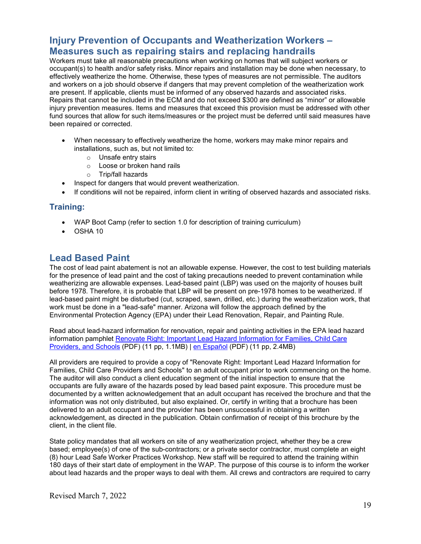# <span id="page-18-0"></span>**Injury Prevention of Occupants and Weatherization Workers – Measures such as repairing stairs and replacing handrails**

Workers must take all reasonable precautions when working on homes that will subject workers or occupant(s) to health and/or safety risks. Minor repairs and installation may be done when necessary, to effectively weatherize the home. Otherwise, these types of measures are not permissible. The auditors and workers on a job should observe if dangers that may prevent completion of the weatherization work are present. If applicable, clients must be informed of any observed hazards and associated risks. Repairs that cannot be included in the ECM and do not exceed \$300 are defined as "minor" or allowable injury prevention measures. Items and measures that exceed this provision must be addressed with other fund sources that allow for such items/measures or the project must be deferred until said measures have been repaired or corrected.

- When necessary to effectively weatherize the home, workers may make minor repairs and installations, such as, but not limited to:
	- o Unsafe entry stairs
	- o Loose or broken hand rails
	- o Trip/fall hazards
- Inspect for dangers that would prevent weatherization.
- If conditions will not be repaired, inform client in writing of observed hazards and associated risks.

#### **Training:**

- WAP Boot Camp (refer to section 1.0 for description of training curriculum)
- OSHA 10

# <span id="page-18-1"></span>**Lead Based Paint**

The cost of lead paint abatement is not an allowable expense. However, the cost to test building materials for the presence of lead paint and the cost of taking precautions needed to prevent contamination while weatherizing are allowable expenses. Lead-based paint (LBP) was used on the majority of houses built before 1978. Therefore, it is probable that LBP will be present on pre-1978 homes to be weatherized. If lead-based paint might be disturbed (cut, scraped, sawn, drilled, etc.) during the weatherization work, that work must be done in a "lead-safe" manner. Arizona will follow the approach defined by the Environmental Protection Agency (EPA) under their Lead Renovation, Repair, and Painting Rule.

Read about lead-hazard information for renovation, repair and painting activities in the EPA lead hazard information pamphlet [Renovate Right: Important Lead Hazard Information for Families, Child Care](http://www.epa.gov/lead/pubs/renovaterightbrochure.pdf)  [Providers, and Schools](http://www.epa.gov/lead/pubs/renovaterightbrochure.pdf) (PDF) (11 pp, 1.1MB) | [en Español](http://www.epa.gov/lead/pubs/renovaterightbrochuresp.pdf) (PDF) (11 pp, 2.4MB)

All providers are required to provide a copy of "Renovate Right: Important Lead Hazard Information for Families, Child Care Providers and Schools" to an adult occupant prior to work commencing on the home. The auditor will also conduct a client education segment of the initial inspection to ensure that the occupants are fully aware of the hazards posed by lead based paint exposure. This procedure must be documented by a written acknowledgement that an adult occupant has received the brochure and that the information was not only distributed, but also explained. Or, certify in writing that a brochure has been delivered to an adult occupant and the provider has been unsuccessful in obtaining a written acknowledgement, as directed in the publication. Obtain confirmation of receipt of this brochure by the client, in the client file.

State policy mandates that all workers on site of any weatherization project, whether they be a crew based; employee(s) of one of the sub-contractors; or a private sector contractor, must complete an eight (8) hour Lead Safe Worker Practices Workshop. New staff will be required to attend the training within 180 days of their start date of employment in the WAP. The purpose of this course is to inform the worker about lead hazards and the proper ways to deal with them. All crews and contractors are required to carry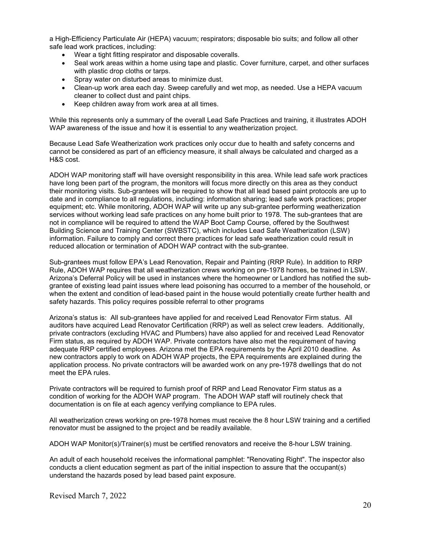a High-Efficiency Particulate Air (HEPA) vacuum; respirators; disposable bio suits; and follow all other safe lead work practices, including:

- Wear a tight fitting respirator and disposable coveralls.
- Seal work areas within a home using tape and plastic. Cover furniture, carpet, and other surfaces with plastic drop cloths or tarps.
- Spray water on disturbed areas to minimize dust.
- Clean-up work area each day. Sweep carefully and wet mop, as needed. Use a HEPA vacuum cleaner to collect dust and paint chips.
- Keep children away from work area at all times.

While this represents only a summary of the overall Lead Safe Practices and training, it illustrates ADOH WAP awareness of the issue and how it is essential to any weatherization project.

Because Lead Safe Weatherization work practices only occur due to health and safety concerns and cannot be considered as part of an efficiency measure, it shall always be calculated and charged as a H&S cost.

ADOH WAP monitoring staff will have oversight responsibility in this area. While lead safe work practices have long been part of the program, the monitors will focus more directly on this area as they conduct their monitoring visits. Sub-grantees will be required to show that all lead based paint protocols are up to date and in compliance to all regulations, including: information sharing; lead safe work practices; proper equipment; etc. While monitoring, ADOH WAP will write up any sub-grantee performing weatherization services without working lead safe practices on any home built prior to 1978. The sub-grantees that are not in compliance will be required to attend the WAP Boot Camp Course, offered by the Southwest Building Science and Training Center (SWBSTC), which includes Lead Safe Weatherization (LSW) information. Failure to comply and correct there practices for lead safe weatherization could result in reduced allocation or termination of ADOH WAP contract with the sub-grantee.

Sub-grantees must follow EPA's Lead Renovation, Repair and Painting (RRP Rule). In addition to RRP Rule, ADOH WAP requires that all weatherization crews working on pre-1978 homes, be trained in LSW. Arizona's Deferral Policy will be used in instances where the homeowner or Landlord has notified the subgrantee of existing lead paint issues where lead poisoning has occurred to a member of the household, or when the extent and condition of lead-based paint in the house would potentially create further health and safety hazards. This policy requires possible referral to other programs

Arizona's status is: All sub-grantees have applied for and received Lead Renovator Firm status. All auditors have acquired Lead Renovator Certification (RRP) as well as select crew leaders. Additionally, private contractors (excluding HVAC and Plumbers) have also applied for and received Lead Renovator Firm status, as required by ADOH WAP. Private contractors have also met the requirement of having adequate RRP certified employees. Arizona met the EPA requirements by the April 2010 deadline. As new contractors apply to work on ADOH WAP projects, the EPA requirements are explained during the application process. No private contractors will be awarded work on any pre-1978 dwellings that do not meet the EPA rules.

Private contractors will be required to furnish proof of RRP and Lead Renovator Firm status as a condition of working for the ADOH WAP program. The ADOH WAP staff will routinely check that documentation is on file at each agency verifying compliance to EPA rules.

All weatherization crews working on pre-1978 homes must receive the 8 hour LSW training and a certified renovator must be assigned to the project and be readily available.

ADOH WAP Monitor(s)/Trainer(s) must be certified renovators and receive the 8-hour LSW training.

An adult of each household receives the informational pamphlet: "Renovating Right". The inspector also conducts a client education segment as part of the initial inspection to assure that the occupant(s) understand the hazards posed by lead based paint exposure.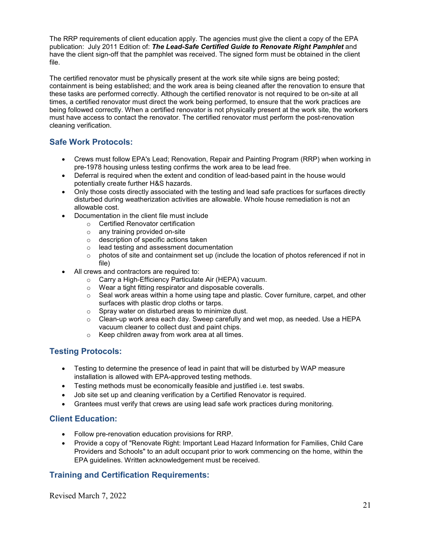The RRP requirements of client education apply. The agencies must give the client a copy of the EPA publication: July 2011 Edition of: *The Lead-Safe Certified Guide to Renovate Right Pamphlet* and have the client sign-off that the pamphlet was received. The signed form must be obtained in the client file.

The certified renovator must be physically present at the work site while signs are being posted; containment is being established; and the work area is being cleaned after the renovation to ensure that these tasks are performed correctly. Although the certified renovator is not required to be on-site at all times, a certified renovator must direct the work being performed, to ensure that the work practices are being followed correctly. When a certified renovator is not physically present at the work site, the workers must have access to contact the renovator. The certified renovator must perform the post-renovation cleaning verification.

# **Safe Work Protocols:**

- Crews must follow EPA's Lead; Renovation, Repair and Painting Program (RRP) when working in pre-1978 housing unless testing confirms the work area to be lead free.
- Deferral is required when the extent and condition of lead-based paint in the house would potentially create further H&S hazards.
- Only those costs directly associated with the testing and lead safe practices for surfaces directly disturbed during weatherization activities are allowable. Whole house remediation is not an allowable cost.
- Documentation in the client file must include
	- o Certified Renovator certification
	- o any training provided on-site
	- o description of specific actions taken
	- o lead testing and assessment documentation
	- $\circ$  photos of site and containment set up (include the location of photos referenced if not in file)
- All crews and contractors are required to:
	- o Carry a High-Efficiency Particulate Air (HEPA) vacuum.
	- o Wear a tight fitting respirator and disposable coveralls.
	- $\circ$  Seal work areas within a home using tape and plastic. Cover furniture, carpet, and other surfaces with plastic drop cloths or tarps.
	- $\circ$  Spray water on disturbed areas to minimize dust.
	- $\circ$  Clean-up work area each day. Sweep carefully and wet mop, as needed. Use a HEPA vacuum cleaner to collect dust and paint chips.
	- o Keep children away from work area at all times.

#### **Testing Protocols:**

- Testing to determine the presence of lead in paint that will be disturbed by WAP measure installation is allowed with EPA-approved testing methods.
- Testing methods must be economically feasible and justified i.e. test swabs.
- Job site set up and cleaning verification by a Certified Renovator is required.
- Grantees must verify that crews are using lead safe work practices during monitoring.

#### **Client Education:**

- Follow pre-renovation education provisions for RRP.
- Provide a copy of "Renovate Right: Important Lead Hazard Information for Families, Child Care Providers and Schools" to an adult occupant prior to work commencing on the home, within the EPA guidelines. Written acknowledgement must be received.

#### **Training and Certification Requirements:**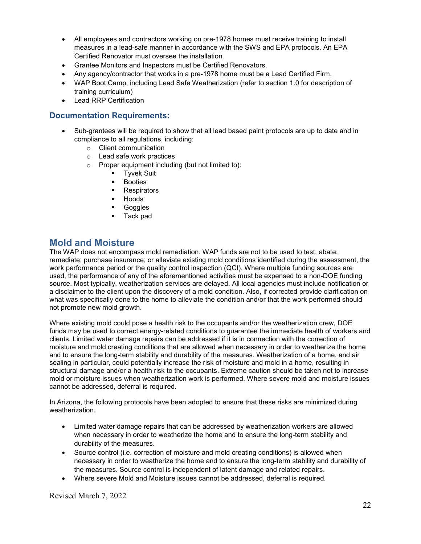- All employees and contractors working on pre-1978 homes must receive training to install measures in a lead-safe manner in accordance with the SWS and EPA protocols. An EPA Certified Renovator must oversee the installation.
- Grantee Monitors and Inspectors must be Certified Renovators.
- Any agency/contractor that works in a pre-1978 home must be a Lead Certified Firm.
- WAP Boot Camp, including Lead Safe Weatherization (refer to section 1.0 for description of training curriculum)
- Lead RRP Certification

#### **Documentation Requirements:**

- Sub-grantees will be required to show that all lead based paint protocols are up to date and in compliance to all regulations, including:
	- o Client communication
	- o Lead safe work practices
	- $\circ$  Proper equipment including (but not limited to):<br> $\bullet$  Tyvek Suit
		- Tyvek Suit
		- **Booties**
		- **Respirators**
		- **-** Hoods
		- **Goggles**
		- Tack pad

# <span id="page-21-0"></span>**Mold and Moisture**

The WAP does not encompass mold remediation. WAP funds are not to be used to test; abate; remediate; purchase insurance; or alleviate existing mold conditions identified during the assessment, the work performance period or the quality control inspection (QCI). Where multiple funding sources are used, the performance of any of the aforementioned activities must be expensed to a non-DOE funding source. Most typically, weatherization services are delayed. All local agencies must include notification or a disclaimer to the client upon the discovery of a mold condition. Also, if corrected provide clarification on what was specifically done to the home to alleviate the condition and/or that the work performed should not promote new mold growth.

Where existing mold could pose a health risk to the occupants and/or the weatherization crew, DOE funds may be used to correct energy-related conditions to guarantee the immediate health of workers and clients. Limited water damage repairs can be addressed if it is in connection with the correction of moisture and mold creating conditions that are allowed when necessary in order to weatherize the home and to ensure the long-term stability and durability of the measures. Weatherization of a home, and air sealing in particular, could potentially increase the risk of moisture and mold in a home, resulting in structural damage and/or a health risk to the occupants. Extreme caution should be taken not to increase mold or moisture issues when weatherization work is performed. Where severe mold and moisture issues cannot be addressed, deferral is required.

In Arizona, the following protocols have been adopted to ensure that these risks are minimized during weatherization.

- Limited water damage repairs that can be addressed by weatherization workers are allowed when necessary in order to weatherize the home and to ensure the long-term stability and durability of the measures.
- Source control (i.e. correction of moisture and mold creating conditions) is allowed when necessary in order to weatherize the home and to ensure the long-term stability and durability of the measures. Source control is independent of latent damage and related repairs.
- Where severe Mold and Moisture issues cannot be addressed, deferral is required.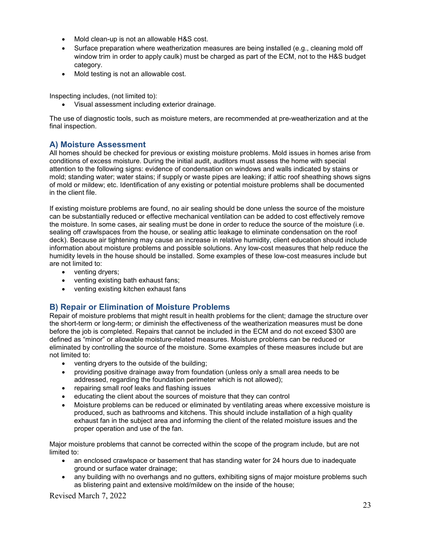- Mold clean-up is not an allowable H&S cost.
- Surface preparation where weatherization measures are being installed (e.g., cleaning mold off window trim in order to apply caulk) must be charged as part of the ECM, not to the H&S budget category.
- Mold testing is not an allowable cost.

Inspecting includes, (not limited to):

• Visual assessment including exterior drainage.

The use of diagnostic tools, such as moisture meters, are recommended at pre-weatherization and at the final inspection.

#### **A) Moisture Assessment**

All homes should be checked for previous or existing moisture problems. Mold issues in homes arise from conditions of excess moisture. During the initial audit, auditors must assess the home with special attention to the following signs: evidence of condensation on windows and walls indicated by stains or mold; standing water; water stains; if supply or waste pipes are leaking; if attic roof sheathing shows signs of mold or mildew; etc. Identification of any existing or potential moisture problems shall be documented in the client file.

If existing moisture problems are found, no air sealing should be done unless the source of the moisture can be substantially reduced or effective mechanical ventilation can be added to cost effectively remove the moisture. In some cases, air sealing must be done in order to reduce the source of the moisture (i.e. sealing off crawlspaces from the house, or sealing attic leakage to eliminate condensation on the roof deck). Because air tightening may cause an increase in relative humidity, client education should include information about moisture problems and possible solutions. Any low-cost measures that help reduce the humidity levels in the house should be installed. Some examples of these low-cost measures include but are not limited to:

- venting dryers;
- venting existing bath exhaust fans;
- venting existing kitchen exhaust fans

#### **B) Repair or Elimination of Moisture Problems**

Repair of moisture problems that might result in health problems for the client; damage the structure over the short-term or long-term; or diminish the effectiveness of the weatherization measures must be done before the job is completed. Repairs that cannot be included in the ECM and do not exceed \$300 are defined as "minor" or allowable moisture-related measures. Moisture problems can be reduced or eliminated by controlling the source of the moisture. Some examples of these measures include but are not limited to:

- venting dryers to the outside of the building;
- providing positive drainage away from foundation (unless only a small area needs to be addressed, regarding the foundation perimeter which is not allowed);
- repairing small roof leaks and flashing issues
- educating the client about the sources of moisture that they can control
- Moisture problems can be reduced or eliminated by ventilating areas where excessive moisture is produced, such as bathrooms and kitchens. This should include installation of a high quality exhaust fan in the subject area and informing the client of the related moisture issues and the proper operation and use of the fan.

Major moisture problems that cannot be corrected within the scope of the program include, but are not limited to:

- an enclosed crawlspace or basement that has standing water for 24 hours due to inadequate ground or surface water drainage;
- any building with no overhangs and no gutters, exhibiting signs of major moisture problems such as blistering paint and extensive mold/mildew on the inside of the house;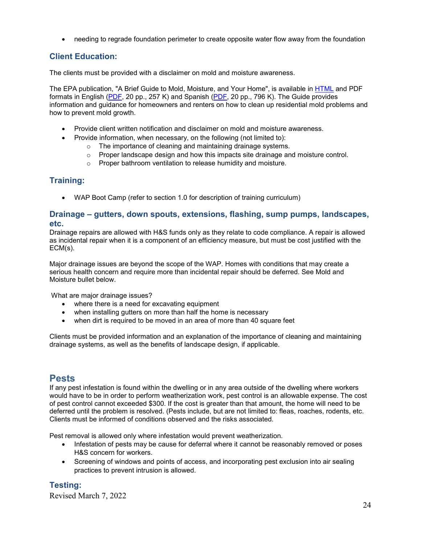• needing to regrade foundation perimeter to create opposite water flow away from the foundation

### **Client Education:**

The clients must be provided with a disclaimer on mold and moisture awareness.

The EPA publication, "A Brief Guide to Mold, Moisture, and Your Home", is available in [HTML](http://www.epa.gov/mold/moldguide.html) and PDF formats in English [\(PDF,](http://www.epa.gov/mold/pdfs/moldguide.pdf) 20 pp., 257 K) and Spanish [\(PDF,](http://www.epa.gov/mold/pdfs/moldguide_sp.pdf) 20 pp., 796 K). The Guide provides information and guidance for homeowners and renters on how to clean up residential mold problems and how to prevent mold growth.

- Provide client written notification and disclaimer on mold and moisture awareness.
- Provide information, when necessary, on the following (not limited to):
	- o The importance of cleaning and maintaining drainage systems.
	- o Proper landscape design and how this impacts site drainage and moisture control.
	- o Proper bathroom ventilation to release humidity and moisture.

#### **Training:**

• WAP Boot Camp (refer to section 1.0 for description of training curriculum)

#### **Drainage – gutters, down spouts, extensions, flashing, sump pumps, landscapes, etc.**

Drainage repairs are allowed with H&S funds only as they relate to code compliance. A repair is allowed as incidental repair when it is a component of an efficiency measure, but must be cost justified with the ECM(s).

Major drainage issues are beyond the scope of the WAP. Homes with conditions that may create a serious health concern and require more than incidental repair should be deferred. See Mold and Moisture bullet below.

What are major drainage issues?

- where there is a need for excavating equipment
- when installing gutters on more than half the home is necessary
- when dirt is required to be moved in an area of more than 40 square feet

Clients must be provided information and an explanation of the importance of cleaning and maintaining drainage systems, as well as the benefits of landscape design, if applicable.

#### <span id="page-23-0"></span>**Pests**

If any pest infestation is found within the dwelling or in any area outside of the dwelling where workers would have to be in order to perform weatherization work, pest control is an allowable expense. The cost of pest control cannot exceeded \$300. If the cost is greater than that amount, the home will need to be deferred until the problem is resolved. (Pests include, but are not limited to: fleas, roaches, rodents, etc. Clients must be informed of conditions observed and the risks associated.

Pest removal is allowed only where infestation would prevent weatherization.

- Infestation of pests may be cause for deferral where it cannot be reasonably removed or poses H&S concern for workers.
- Screening of windows and points of access, and incorporating pest exclusion into air sealing practices to prevent intrusion is allowed.

#### **Testing:**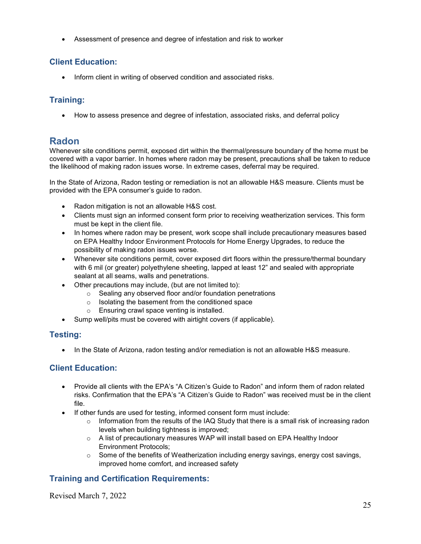• Assessment of presence and degree of infestation and risk to worker

# **Client Education:**

• Inform client in writing of observed condition and associated risks.

# **Training:**

<span id="page-24-0"></span>• How to assess presence and degree of infestation, associated risks, and deferral policy

# **Radon**

Whenever site conditions permit, exposed dirt within the thermal/pressure boundary of the home must be covered with a vapor barrier. In homes where radon may be present, precautions shall be taken to reduce the likelihood of making radon issues worse. In extreme cases, deferral may be required.

In the State of Arizona, Radon testing or remediation is not an allowable H&S measure. Clients must be provided with the EPA consumer's guide to radon.

- Radon mitigation is not an allowable H&S cost.
- Clients must sign an informed consent form prior to receiving weatherization services. This form must be kept in the client file.
- In homes where radon may be present, work scope shall include precautionary measures based on EPA Healthy Indoor Environment Protocols for Home Energy Upgrades, to reduce the possibility of making radon issues worse.
- Whenever site conditions permit, cover exposed dirt floors within the pressure/thermal boundary with 6 mil (or greater) polyethylene sheeting, lapped at least 12" and sealed with appropriate sealant at all seams, walls and penetrations.
- Other precautions may include, (but are not limited to):
	- o Sealing any observed floor and/or foundation penetrations
	- o Isolating the basement from the conditioned space
	- o Ensuring crawl space venting is installed.
- Sump well/pits must be covered with airtight covers (if applicable).

# **Testing:**

• In the State of Arizona, radon testing and/or remediation is not an allowable H&S measure.

# **Client Education:**

- Provide all clients with the EPA's "A Citizen's Guide to Radon" and inform them of radon related risks. Confirmation that the EPA's "A Citizen's Guide to Radon" was received must be in the client file.
- If other funds are used for testing, informed consent form must include:
	- $\circ$  Information from the results of the IAQ Study that there is a small risk of increasing radon levels when building tightness is improved;
	- o A list of precautionary measures WAP will install based on EPA Healthy Indoor Environment Protocols;
	- o Some of the benefits of Weatherization including energy savings, energy cost savings, improved home comfort, and increased safety

# **Training and Certification Requirements:**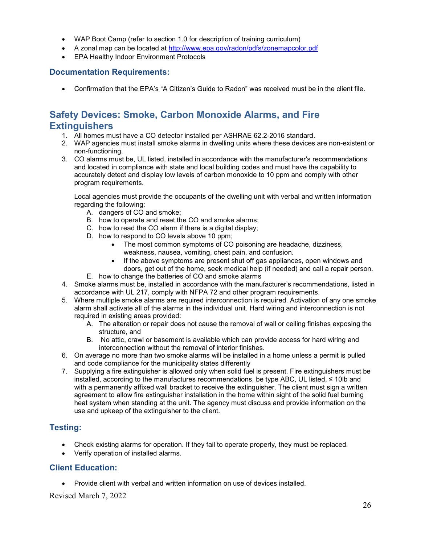- WAP Boot Camp (refer to section 1.0 for description of training curriculum)
- A zonal map can be located at<http://www.epa.gov/radon/pdfs/zonemapcolor.pdf>
- EPA Healthy Indoor Environment Protocols

#### **Documentation Requirements:**

<span id="page-25-0"></span>• Confirmation that the EPA's "A Citizen's Guide to Radon" was received must be in the client file.

# **Safety Devices: Smoke, Carbon Monoxide Alarms, and Fire Extinguishers**

- 1. All homes must have a CO detector installed per ASHRAE 62.2-2016 standard.
- 2. WAP agencies must install smoke alarms in dwelling units where these devices are non-existent or non-functioning.
- 3. CO alarms must be, UL listed, installed in accordance with the manufacturer's recommendations and located in compliance with state and local building codes and must have the capability to accurately detect and display low levels of carbon monoxide to 10 ppm and comply with other program requirements.

Local agencies must provide the occupants of the dwelling unit with verbal and written information regarding the following:

- A. dangers of CO and smoke;
- B. how to operate and reset the CO and smoke alarms;
- C. how to read the CO alarm if there is a digital display;
- D. how to respond to CO levels above 10 ppm;
	- The most common symptoms of CO poisoning are headache, dizziness, weakness, nausea, vomiting, chest pain, and confusion.
	- If the above symptoms are present shut off gas appliances, open windows and doors, get out of the home, seek medical help (if needed) and call a repair person.
- E. how to change the batteries of CO and smoke alarms
- 4. Smoke alarms must be, installed in accordance with the manufacturer's recommendations, listed in accordance with UL 217, comply with NFPA 72 and other program requirements.
- 5. Where multiple smoke alarms are required interconnection is required. Activation of any one smoke alarm shall activate all of the alarms in the individual unit. Hard wiring and interconnection is not required in existing areas provided:
	- A. The alteration or repair does not cause the removal of wall or ceiling finishes exposing the structure, and
	- B. No attic, crawl or basement is available which can provide access for hard wiring and interconnection without the removal of interior finishes.
- 6. On average no more than two smoke alarms will be installed in a home unless a permit is pulled and code compliance for the municipality states differently
- 7. Supplying a fire extinguisher is allowed only when solid fuel is present. Fire extinguishers must be installed, according to the manufactures recommendations, be type ABC, UL listed, ≤ 10lb and with a permanently affixed wall bracket to receive the extinguisher. The client must sign a written agreement to allow fire extinguisher installation in the home within sight of the solid fuel burning heat system when standing at the unit. The agency must discuss and provide information on the use and upkeep of the extinguisher to the client.

#### **Testing:**

- Check existing alarms for operation. If they fail to operate properly, they must be replaced.
- Verify operation of installed alarms.

#### **Client Education:**

• Provide client with verbal and written information on use of devices installed.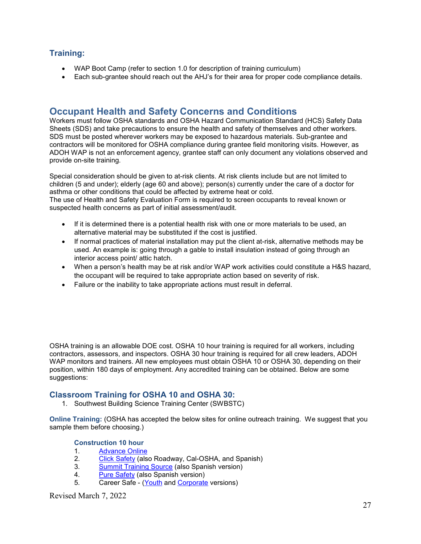# **Training:**

- WAP Boot Camp (refer to section 1.0 for description of training curriculum)
- Each sub-grantee should reach out the AHJ's for their area for proper code compliance details.

# <span id="page-26-0"></span>**Occupant Health and Safety Concerns and Conditions**

Workers must follow OSHA standards and OSHA Hazard Communication Standard (HCS) Safety Data Sheets (SDS) and take precautions to ensure the health and safety of themselves and other workers. SDS must be posted wherever workers may be exposed to hazardous materials. Sub-grantee and contractors will be monitored for OSHA compliance during grantee field monitoring visits. However, as ADOH WAP is not an enforcement agency, grantee staff can only document any violations observed and provide on-site training.

Special consideration should be given to at-risk clients. At risk clients include but are not limited to children (5 and under); elderly (age 60 and above); person(s) currently under the care of a doctor for asthma or other conditions that could be affected by extreme heat or cold. The use of Health and Safety Evaluation Form is required to screen occupants to reveal known or

suspected health concerns as part of initial assessment/audit.

- If it is determined there is a potential health risk with one or more materials to be used, an alternative material may be substituted if the cost is justified.
- If normal practices of material installation may put the client at-risk, alternative methods may be used. An example is: going through a gable to install insulation instead of going through an interior access point/ attic hatch.
- When a person's health may be at risk and/or WAP work activities could constitute a H&S hazard, the occupant will be required to take appropriate action based on severity of risk.
- Failure or the inability to take appropriate actions must result in deferral.

OSHA training is an allowable DOE cost. OSHA 10 hour training is required for all workers, including contractors, assessors, and inspectors. OSHA 30 hour training is required for all crew leaders, ADOH WAP monitors and trainers. All new employees must obtain OSHA 10 or OSHA 30, depending on their position, within 180 days of employment. Any accredited training can be obtained. Below are some suggestions:

#### **Classroom Training for OSHA 10 and OSHA 30:**

1. Southwest Building Science Training Center (SWBSTC)

**Online Training:** (OSHA has accepted the below sites for online outreach training. We suggest that you sample them before choosing.)

#### **Construction 10 hour**

- 1. Advance Online<br>2. Click Safety (als
- [Click Safety](http://www.osha10.com/) (also Roadway, Cal-OSHA, and Spanish)
- 3. [Summit Training Source](http://1030.trainingweb.com/) (also Spanish version)
- 4. [Pure Safety](http://www.oshatrainingondemand.com/) (also Spanish version)
- 5. Career Safe [\(Youth](http://www.careersafeonline.com/) and [Corporate](http://www.oshainstitute.com/) versions)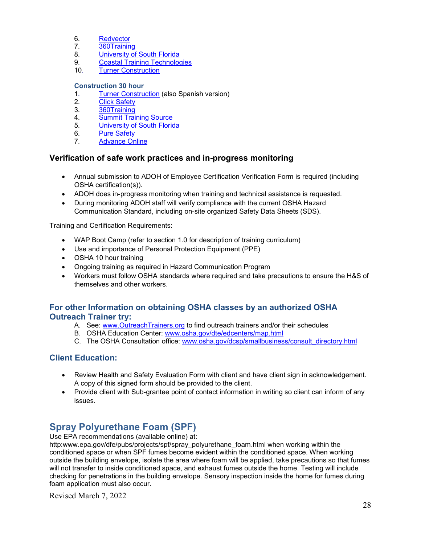- 6. [Redvector](http://www.redvector.com/)
- 7. [360Training](http://www.oshacampus.com/)<br>8. University of
- [University of South Florida](http://www.usfoticenter.org/)
- 9. [Coastal Training](http://osha.ecampustraining.com/) Technologies
- 10. [Turner Construction](http://www.turneruniversity.com/)

#### **Construction 30 hour**

- 1. [Turner Construction](http://www.turneruniversity.com/) (also Spanish version)<br>2. Click Safety
- **[Click Safety](http://www.osha10.com/)**
- 3. [360Training](http://www.oshacampus.com/)
- 4. [Summit Training Source](http://1030.trainingweb.com/)<br>5. University of South Florid
- [University of South Florida](http://www.usfoticenter.org/)
- 6. [Pure Safety](http://www.oshatrainingondemand.com/)
- 7. [Advance Online](http://www.advanceonline.com/)

#### **Verification of safe work practices and in-progress monitoring**

- Annual submission to ADOH of Employee Certification Verification Form is required (including OSHA certification(s)).
- ADOH does in-progress monitoring when training and technical assistance is requested.
- During monitoring ADOH staff will verify compliance with the current OSHA Hazard Communication Standard, including on-site organized Safety Data Sheets (SDS).

Training and Certification Requirements:

- WAP Boot Camp (refer to section 1.0 for description of training curriculum)
- Use and importance of Personal Protection Equipment (PPE)
- OSHA 10 hour training
- Ongoing training as required in Hazard Communication Program
- Workers must follow OSHA standards where required and take precautions to ensure the H&S of themselves and other workers.

#### **For other Information on obtaining OSHA classes by an authorized OSHA Outreach Trainer try:**

- A. See: [www.OutreachTrainers.org](http://www.outreachtrainers.org/) to find outreach trainers and/or their schedules
- B. OSHA Education Center: [www.osha.gov/dte/edcenters/map.html](http://www.osha.gov/dte/edcenters/map.html)
- C. The OSHA Consultation office: [www.osha.gov/dcsp/smallbusiness/consult\\_directory.html](http://www.osha.gov/dcsp/smallbusiness/consult_directory.html)

#### **Client Education:**

- Review Health and Safety Evaluation Form with client and have client sign in acknowledgement. A copy of this signed form should be provided to the client.
- Provide client with Sub-grantee point of contact information in writing so client can inform of any issues.

# <span id="page-27-0"></span>**Spray Polyurethane Foam (SPF)**

Use EPA recommendations (available online) at:

http:www.epa.gov/dfe/pubs/projects/spf/spray\_polyurethane\_foam.html when working within the conditioned space or when SPF fumes become evident within the conditioned space. When working outside the building envelope, isolate the area where foam will be applied, take precautions so that fumes will not transfer to inside conditioned space, and exhaust fumes outside the home. Testing will include checking for penetrations in the building envelope. Sensory inspection inside the home for fumes during foam application must also occur.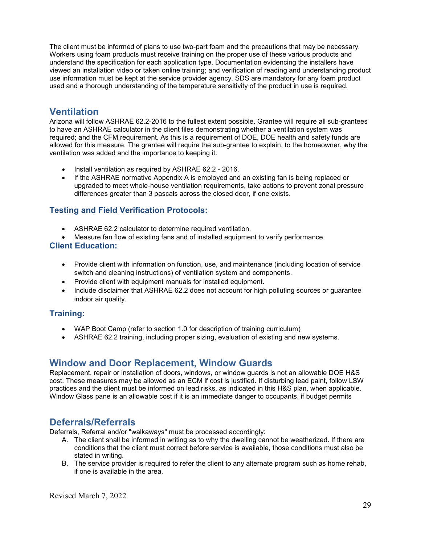The client must be informed of plans to use two-part foam and the precautions that may be necessary. Workers using foam products must receive training on the proper use of these various products and understand the specification for each application type. Documentation evidencing the installers have viewed an installation video or taken online training; and verification of reading and understanding product use information must be kept at the service provider agency. SDS are mandatory for any foam product used and a thorough understanding of the temperature sensitivity of the product in use is required.

# <span id="page-28-0"></span>**Ventilation**

Arizona will follow ASHRAE 62.2-2016 to the fullest extent possible. Grantee will require all sub-grantees to have an ASHRAE calculator in the client files demonstrating whether a ventilation system was required; and the CFM requirement. As this is a requirement of DOE, DOE health and safety funds are allowed for this measure. The grantee will require the sub-grantee to explain, to the homeowner, why the ventilation was added and the importance to keeping it.

- Install ventilation as required by ASHRAE 62.2 2016.
- If the ASHRAE normative Appendix A is employed and an existing fan is being replaced or upgraded to meet whole-house ventilation requirements, take actions to prevent zonal pressure differences greater than 3 pascals across the closed door, if one exists.

# **Testing and Field Verification Protocols:**

- ASHRAE 62.2 calculator to determine required ventilation.
- Measure fan flow of existing fans and of installed equipment to verify performance.

#### **Client Education:**

- Provide client with information on function, use, and maintenance (including location of service switch and cleaning instructions) of ventilation system and components.
- Provide client with equipment manuals for installed equipment.
- Include disclaimer that ASHRAE 62.2 does not account for high polluting sources or guarantee indoor air quality.

#### **Training:**

- WAP Boot Camp (refer to section 1.0 for description of training curriculum)
- <span id="page-28-1"></span>• ASHRAE 62.2 training, including proper sizing, evaluation of existing and new systems.

# **Window and Door Replacement, Window Guards**

Replacement, repair or installation of doors, windows, or window guards is not an allowable DOE H&S cost. These measures may be allowed as an ECM if cost is justified. If disturbing lead paint, follow LSW practices and the client must be informed on lead risks, as indicated in this H&S plan, when applicable. Window Glass pane is an allowable cost if it is an immediate danger to occupants, if budget permits

# <span id="page-28-2"></span>**Deferrals/Referrals**

Deferrals, Referral and/or "walkaways" must be processed accordingly:

- A. The client shall be informed in writing as to why the dwelling cannot be weatherized. If there are conditions that the client must correct before service is available, those conditions must also be stated in writing.
- B. The service provider is required to refer the client to any alternate program such as home rehab, if one is available in the area.